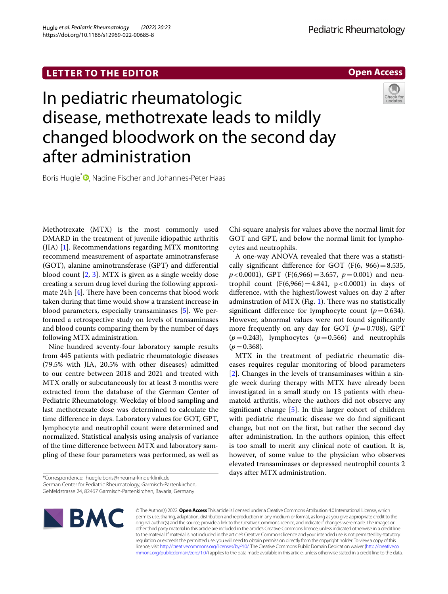# **LETTER TO THE EDITOR**

**Open Access**

# In pediatric rheumatologic disease, methotrexate leads to mildly changed bloodwork on the second day after administration

Boris Hugle<sup>[\\*](http://orcid.org/0000-0003-1145-6719)</sup><sup>D</sup>, Nadine Fischer and Johannes-Peter Haas

Methotrexate (MTX) is the most commonly used DMARD in the treatment of juvenile idiopathic arthritis (JIA) [\[1](#page-1-0)]. Recommendations regarding MTX monitoring recommend measurement of aspartate aminotransferase (GOT), alanine aminotransferase (GPT) and diferential blood count [[2,](#page-1-1) [3\]](#page-1-2). MTX is given as a single weekly dose creating a serum drug level during the following approximate 24h  $[4]$  $[4]$ . There have been concerns that blood work taken during that time would show a transient increase in blood parameters, especially transaminases [[5\]](#page-1-4). We performed a retrospective study on levels of transaminases and blood counts comparing them by the number of days following MTX administration.

Nine hundred seventy-four laboratory sample results from 445 patients with pediatric rheumatologic diseases (79.5% with JIA, 20.5% with other diseases) admitted to our centre between 2018 and 2021 and treated with MTX orally or subcutaneously for at least 3 months were extracted from the database of the German Center of Pediatric Rheumatology. Weekday of blood sampling and last methotrexate dose was determined to calculate the time diference in days. Laboratory values for GOT, GPT, lymphocyte and neutrophil count were determined and normalized. Statistical analysis using analysis of variance of the time diference between MTX and laboratory sampling of these four parameters was performed, as well as

Chi-square analysis for values above the normal limit for GOT and GPT, and below the normal limit for lymphocytes and neutrophils.

A one-way ANOVA revealed that there was a statistically significant difference for GOT (F(6, 966) = 8.535,  $p < 0.0001$ ), GPT (F(6,966) = 3.657,  $p = 0.001$ ) and neutrophil count  $(F(6,966) = 4.841, p < 0.0001)$  in days of diference, with the highest/lowest values on day 2 after adminstration of MTX (Fig. [1\)](#page-1-5). There was no statistically significant difference for lymphocyte count  $(p=0.634)$ . However, abnormal values were not found signifcantly more frequently on any day for GOT  $(p=0.708)$ , GPT  $(p=0.243)$ , lymphocytes  $(p=0.566)$  and neutrophils  $(p=0.368)$ .

MTX in the treatment of pediatric rheumatic diseases requires regular monitoring of blood parameters [[2\]](#page-1-1). Changes in the levels of transaminases within a single week during therapy with MTX have already been investigated in a small study on 13 patients with rheumatoid arthritis, where the authors did not observe any signifcant change [\[5](#page-1-4)]. In this larger cohort of children with pediatric rheumatic disease we do fnd signifcant change, but not on the frst, but rather the second day after administration. In the authors opinion, this efect is too small to merit any clinical note of caution. It is, however, of some value to the physician who observes elevated transaminases or depressed neutrophil counts 2 days after MTX administration.



© The Author(s) 2022. **Open Access** This article is licensed under a Creative Commons Attribution 4.0 International License, which permits use, sharing, adaptation, distribution and reproduction in any medium or format, as long as you give appropriate credit to the original author(s) and the source, provide a link to the Creative Commons licence, and indicate if changes were made. The images or other third party material in this article are included in the article's Creative Commons licence, unless indicated otherwise in a credit line to the material. If material is not included in the article's Creative Commons licence and your intended use is not permitted by statutory regulation or exceeds the permitted use, you will need to obtain permission directly from the copyright holder. To view a copy of this licence, visit [http://creativecommons.org/licenses/by/4.0/.](http://creativecommons.org/licenses/by/4.0/) The Creative Commons Public Domain Dedication waiver ([http://creativeco](http://creativecommons.org/publicdomain/zero/1.0/) [mmons.org/publicdomain/zero/1.0/](http://creativecommons.org/publicdomain/zero/1.0/)) applies to the data made available in this article, unless otherwise stated in a credit line to the data.

<sup>\*</sup>Correspondence: huegle.boris@rheuma-kinderklinik.de German Center for Pediatric Rheumatology, Garmisch-Partenkirchen, Gehfeldstrasse 24, 82467 Garmisch‑Partenkirchen, Bavaria, Germany